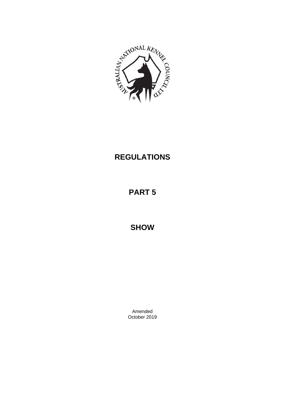

# **REGULATIONS**

# **PART 5**

**SHOW**

Amended October 2019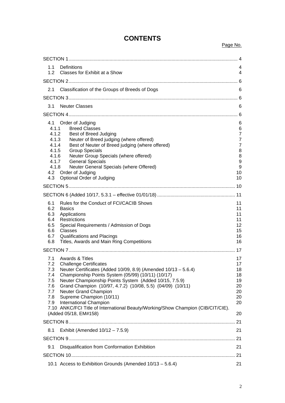| 1.1<br>Definitions<br>1.2                                                                                                                                                                                                               | Classes for Exhibit at a Show                                                                                                                                                                                                                                                                                                    | 4<br>4                                                                                                      |
|-----------------------------------------------------------------------------------------------------------------------------------------------------------------------------------------------------------------------------------------|----------------------------------------------------------------------------------------------------------------------------------------------------------------------------------------------------------------------------------------------------------------------------------------------------------------------------------|-------------------------------------------------------------------------------------------------------------|
|                                                                                                                                                                                                                                         |                                                                                                                                                                                                                                                                                                                                  |                                                                                                             |
| 2.1                                                                                                                                                                                                                                     | Classification of the Groups of Breeds of Dogs                                                                                                                                                                                                                                                                                   | 6                                                                                                           |
|                                                                                                                                                                                                                                         |                                                                                                                                                                                                                                                                                                                                  |                                                                                                             |
| <b>Neuter Classes</b><br>3.1                                                                                                                                                                                                            |                                                                                                                                                                                                                                                                                                                                  | 6                                                                                                           |
|                                                                                                                                                                                                                                         |                                                                                                                                                                                                                                                                                                                                  |                                                                                                             |
| 4.1 Order of Judging<br>4.1.1<br><b>Breed Classes</b><br>4.1.2<br>4.1.3<br>4.1.4<br>4.1.5<br><b>Group Specials</b><br>4.1.6<br>4.1.7<br><b>General Specials</b><br>4.1.8<br>4.2<br>Order of Judging<br>4.3<br>Optional Order of Judging | Best of Breed Judging<br>Neuter of Breed judging (where offered)<br>Best of Neuter of Breed judging (where offered)<br>Neuter Group Specials (where offered)<br>Neuter General Specials (where Offered)                                                                                                                          | 6<br>6<br>$\overline{7}$<br>$\overline{7}$<br>$\overline{7}$<br>8<br>8<br>$\boldsymbol{9}$<br>9<br>10<br>10 |
|                                                                                                                                                                                                                                         |                                                                                                                                                                                                                                                                                                                                  |                                                                                                             |
|                                                                                                                                                                                                                                         |                                                                                                                                                                                                                                                                                                                                  |                                                                                                             |
| 6.1<br>6.2<br><b>Basics</b><br>6.3<br>Applications<br>6.4<br>Restrictions<br>6.5<br>6.6<br>Classes<br>6.7<br>Qualifications and Placings<br>6.8                                                                                         | Rules for the Conduct of FCI/CACIB Shows<br>Special Requirements / Admission of Dogs<br>Titles, Awards and Main Ring Competitions                                                                                                                                                                                                | 11<br>11<br>11<br>11<br>12<br>15<br>16<br>16                                                                |
|                                                                                                                                                                                                                                         |                                                                                                                                                                                                                                                                                                                                  |                                                                                                             |
| 7.1<br>Awards & Titles<br>7.2<br><b>Challenge Certificates</b><br>7.3<br>7.4<br>7.5<br>7.6<br>7.7<br>Neuter Grand Champion<br>7.8<br>Supreme Champion (10/11)<br><b>International Champion</b><br>7.9                                   | Neuter Certificates (Added 10/09, 8.9) (Amended 10/13 - 5.6.4)<br>Championship Points System (05/99) (10/11) (10/17)<br>Neuter Championship Points System (Added 10/15, 7.5.9)<br>Grand Champion (10/97, 4.7.2) (10/08, 5.5) (04/09) (10/11)<br>7.10 ANKC/FCI Title of International Beauty/Working/Show Champion (CIB/CIT/CIE). | 17<br>17<br>18<br>18<br>19<br>20<br>20<br>20<br>20                                                          |
| (Added 05/18, EM#158)                                                                                                                                                                                                                   |                                                                                                                                                                                                                                                                                                                                  | 20                                                                                                          |
|                                                                                                                                                                                                                                         |                                                                                                                                                                                                                                                                                                                                  |                                                                                                             |
| 8.1                                                                                                                                                                                                                                     | Exhibit (Amended $10/12 - 7.5.9$ )                                                                                                                                                                                                                                                                                               | 21                                                                                                          |
|                                                                                                                                                                                                                                         |                                                                                                                                                                                                                                                                                                                                  |                                                                                                             |
| 9.1                                                                                                                                                                                                                                     | Disqualification from Conformation Exhibition                                                                                                                                                                                                                                                                                    | 21                                                                                                          |
|                                                                                                                                                                                                                                         |                                                                                                                                                                                                                                                                                                                                  |                                                                                                             |
|                                                                                                                                                                                                                                         | 10.1 Access to Exhibition Grounds (Amended 10/13 - 5.6.4)                                                                                                                                                                                                                                                                        | 21                                                                                                          |

# **CONTENTS**

Page No.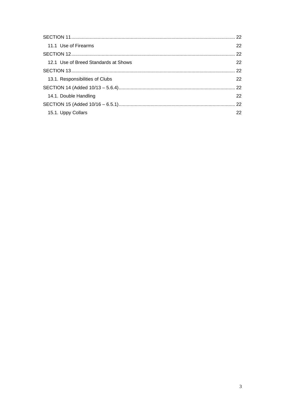|                                      | 22 |
|--------------------------------------|----|
| 11.1 Use of Firearms                 | 22 |
|                                      |    |
| 12.1 Use of Breed Standards at Shows | 22 |
|                                      |    |
| 13.1. Responsibilities of Clubs      | 22 |
|                                      |    |
| 14.1. Double Handling                | 22 |
|                                      |    |
| 15.1. Uppy Collars                   | 22 |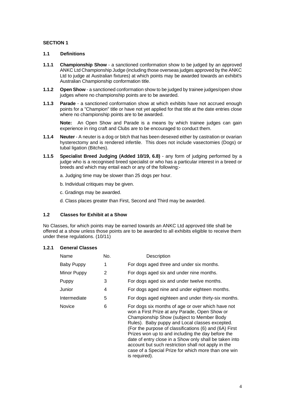# <span id="page-3-0"></span>**SECTION 1**

# <span id="page-3-1"></span>**1.1 Definitions**

- **1.1.1 Championship Show** a sanctioned conformation show to be judged by an approved ANKC Ltd Championship Judge (including those overseas judges approved by the ANKC Ltd to judge at Australian fixtures) at which points may be awarded towards an exhibit's Australian Championship conformation title.
- **1.1.2 Open Show**  a sanctioned conformation show to be judged by trainee judges/open show judges where no championship points are to be awarded.
- **1.1.3 Parade** a sanctioned conformation show at which exhibits have not accrued enough points for a "Champion" title or have not yet applied for that title at the date entries close where no championship points are to be awarded.

**Note:** An Open Show and Parade is a means by which trainee judges can gain experience in ring craft and Clubs are to be encouraged to conduct them.

- **1.1.4 Neuter** A neuter is a dog or bitch that has been desexed either by castration or ovarian hysterectomy and is rendered infertile. This does not include vasectomies (Dogs) or tubal ligation (Bitches).
- **1.1.5 Specialist Breed Judging (Added 10/19, 6.8)**  any form of judging performed by a judge who is a recognised breed specialist or who has a particular interest in a breed or breeds and which may entail each or any of the following:
	- a. Judging time may be slower than 25 dogs per hour.
	- b. Individual critiques may be given.
	- c. Gradings may be awarded.
	- d. Class places greater than First, Second and Third may be awarded.

# <span id="page-3-2"></span>**1.2 Classes for Exhibit at a Show**

No Classes, for which points may be earned towards an ANKC Ltd approved title shall be offered at a show unless those points are to be awarded to all exhibits eligible to receive them under these regulations. (10/11)

#### **1.2.1 General Classes**

| Name          | No. | Description                                                                                                                                                                                                                                                                                                                                                                                                                       |
|---------------|-----|-----------------------------------------------------------------------------------------------------------------------------------------------------------------------------------------------------------------------------------------------------------------------------------------------------------------------------------------------------------------------------------------------------------------------------------|
| Baby Puppy    | 1   | For dogs aged three and under six months.                                                                                                                                                                                                                                                                                                                                                                                         |
| Minor Puppy   | 2   | For dogs aged six and under nine months.                                                                                                                                                                                                                                                                                                                                                                                          |
| Puppy         | 3   | For dogs aged six and under twelve months.                                                                                                                                                                                                                                                                                                                                                                                        |
| Junior        | 4   | For dogs aged nine and under eighteen months.                                                                                                                                                                                                                                                                                                                                                                                     |
| Intermediate  | 5   | For dogs aged eighteen and under thirty-six months.                                                                                                                                                                                                                                                                                                                                                                               |
| <b>Novice</b> | 6   | For dogs six months of age or over which have not<br>won a First Prize at any Parade, Open Show or<br>Championship Show (subject to Member Body<br>Rules). Baby puppy and Local classes excepted.<br>(For the purpose of classifications (6) and (6A) First<br>Prizes won up to and including the day before the<br>date of entry close in a Show only shall be taken into<br>account but such restriction shall not apply in the |

is required).

case of a Special Prize for which more than one win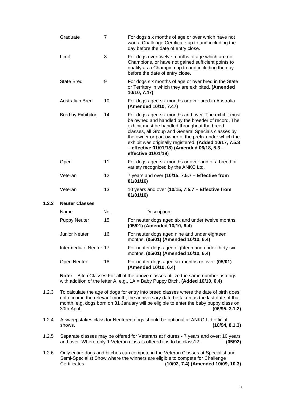| Graduate                 | $\overline{7}$ | For dogs six months of age or over which have not<br>won a Challenge Certificate up to and including the<br>day before the date of entry close.                                                                                                                                                                                                                                                          |
|--------------------------|----------------|----------------------------------------------------------------------------------------------------------------------------------------------------------------------------------------------------------------------------------------------------------------------------------------------------------------------------------------------------------------------------------------------------------|
| Limit                    | 8              | For dogs over twelve months of age which are not<br>Champions, or have not gained sufficient points to<br>qualify as a Champion up to and including the day<br>before the date of entry close.                                                                                                                                                                                                           |
| <b>State Bred</b>        | 9              | For dogs six months of age or over bred in the State<br>or Territory in which they are exhibited. (Amended<br>10/10, 7.47)                                                                                                                                                                                                                                                                               |
| <b>Australian Bred</b>   | 10             | For dogs aged six months or over bred in Australia.<br>(Amended 10/10, 7.47)                                                                                                                                                                                                                                                                                                                             |
| <b>Bred by Exhibitor</b> | 14             | For dogs aged six months and over. The exhibit must<br>be owned and handled by the breeder of record. The<br>exhibit must be handled throughout the breed<br>classes, all Group and General Specials classes by<br>the owner or part owner of the prefix under which the<br>exhibit was originally registered. (Added 10/17, 7.5.8<br>- effective 01/01/18) (Amended 06/18, 5.3 -<br>effective 01/01/19) |
| Open                     | 11             | For dogs aged six months or over and of a breed or<br>variety recognized by the ANKC Ltd.                                                                                                                                                                                                                                                                                                                |
| Veteran                  | 12             | 7 years and over (10/15, 7.5.7 - Effective from<br>01/01/16                                                                                                                                                                                                                                                                                                                                              |
| Veteran                  | 13             | 10 years and over (10/15, 7.5.7 - Effective from<br>01/01/16)                                                                                                                                                                                                                                                                                                                                            |
| <b>Neuter Classes</b>    |                |                                                                                                                                                                                                                                                                                                                                                                                                          |

# $1.2.2$

| Name                   | No. | Description                                                                                |
|------------------------|-----|--------------------------------------------------------------------------------------------|
| Puppy Neuter           | 15  | For neuter dogs aged six and under twelve months.<br>(05/01) (Amended 10/10, 6.4)          |
| Junior Neuter          | 16  | For neuter dogs aged nine and under eighteen<br>months. (05/01) (Amended 10/10, 6.4)       |
| Intermediate Neuter 17 |     | For neuter dogs aged eighteen and under thirty-six<br>months. (05/01) (Amended 10/10, 6.4) |
| Open Neuter            | 18  | For neuter dogs aged six months or over. (05/01)<br>(Amended 10/10, 6.4)                   |

**Note:** Bitch Classes For all of the above classes utilize the same number as dogs with addition of the letter A, e.g., 1A = Baby Puppy Bitch. **(Added 10/10, 6.4)**

- 1.2.3 To calculate the age of dogs for entry into breed classes where the date of birth does not occur in the relevant month, the anniversary date be taken as the last date of that month, e.g. dogs born on 31 January will be eligible to enter the baby puppy class on 30th April. **(06/95, 3.1.2)**
- 1.2.4 A sweepstakes class for Neutered dogs should be optional at ANKC Ltd official shows. **(10/94, 8.1.3)**
- 1.2.5 Separate classes may be offered for Veterans at fixtures 7 years and over; 10 years and over. Where only 1 Veteran class is offered it is to be class12. **(05/92)**
- 1.2.6 Only entire dogs and bitches can compete in the Veteran Classes at Specialist and Semi-Specialist Show where the winners are eligible to compete for Challenge<br>Certificates. (10/92. 7.4) (Amended 10/09 Certificates. **(10/92, 7.4) (Amended 10/09, 10.3)**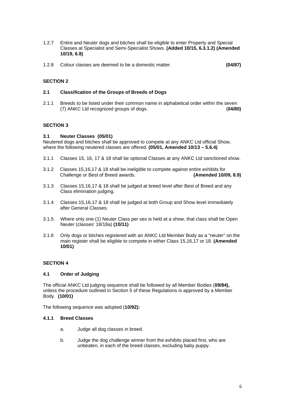- 1.2.7 Entire and Neuter dogs and bitches shall be eligible to enter Property and Special Classes at Specialist and Semi-Specialist Shows. **(Added 10/15, 6.3.1.2) (Amended 10/19, 6.8)**
- 1.2.8 Colour classes are deemed to be a domestic matter. **(04/87)**

# <span id="page-5-0"></span>**SECTION 2**

#### <span id="page-5-1"></span>**2.1 Classification of the Groups of Breeds of Dogs**

2.1.1 Breeds to be listed under their common name in alphabetical order within the seven (7) ANKC Ltd recognized groups of dogs. (**04/80)**

### <span id="page-5-2"></span>**SECTION 3**

#### <span id="page-5-3"></span>**3.1 Neuter Classes (05/01)**

Neutered dogs and bitches shall be approved to compete at any ANKC Ltd official Show, where the following neutered classes are offered. **(05/01, Amended 10/13 – 5.6.4)**

- 3.1.1 Classes 15, 16, 17 & 18 shall be optional Classes at any ANKC Ltd sanctioned show.
- 3.1.2 Classes 15,16,17 & 18 shall be ineligible to compete against entire exhibits for<br>Challenge or Best of Breed awards. (Amended 10/09, 8.9) Challenge or Best of Breed awards.
- 3.1.3 Classes 15,16,17 & 18 shall be judged at breed level after Best of Breed and any Class elimination judging.
- 3.1.4 Classes 15,16,17 & 18 shall be judged at both Group and Show level immediately after General Classes.
- 3.1.5 Where only one (1) Neuter Class per sex is held at a show, that class shall be Open Neuter (classes' 18/18a) **(10/11)**
- 3.1.6 Only dogs or bitches registered with an ANKC Ltd Member Body as a "neuter" on the main register shall be eligible to compete in either Class 15,16,17 or 18. **(Amended 10/01)**

#### <span id="page-5-4"></span>**SECTION 4**

#### <span id="page-5-5"></span>**4.1 Order of Judging**

The official ANKC Ltd judging sequence shall be followed by all Member Bodies (**09/84),**  unless the procedure outlined in Section 5 of these Regulations is approved by a Member Body. **(10/01)**

The following sequence was adopted (**10/92):**

#### <span id="page-5-6"></span>**4.1.1 Breed Classes**

- a. Judge all dog classes in breed.
- b. Judge the dog challenge winner from the exhibits placed first, who are unbeaten, in each of the breed classes, excluding baby puppy.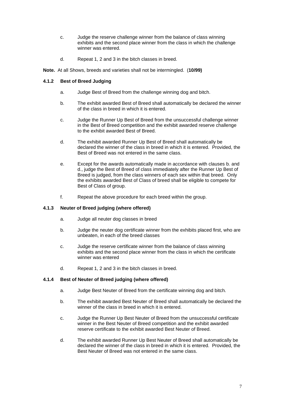- c. Judge the reserve challenge winner from the balance of class winning exhibits and the second place winner from the class in which the challenge winner was entered.
- d. Repeat 1, 2 and 3 in the bitch classes in breed.

**Note.** At all Shows, breeds and varieties shall not be intermingled. (**10/99)**

# <span id="page-6-0"></span>**4.1.2 Best of Breed Judging**

- a. Judge Best of Breed from the challenge winning dog and bitch.
- b. The exhibit awarded Best of Breed shall automatically be declared the winner of the class in breed in which it is entered.
- c. Judge the Runner Up Best of Breed from the unsuccessful challenge winner in the Best of Breed competition and the exhibit awarded reserve challenge to the exhibit awarded Best of Breed.
- d. The exhibit awarded Runner Up Best of Breed shall automatically be declared the winner of the class in breed in which it is entered. Provided, the Best of Breed was not entered in the same class.
- e. Except for the awards automatically made in accordance with clauses b. and d., judge the Best of Breed of class immediately after the Runner Up Best of Breed is judged, from the class winners of each sex within that breed. Only the exhibits awarded Best of Class of breed shall be eligible to compete for Best of Class of group.
- f. Repeat the above procedure for each breed within the group.

# <span id="page-6-1"></span>**4.1.3 Neuter of Breed judging (where offered)**

- a. Judge all neuter dog classes in breed
- b. Judge the neuter dog certificate winner from the exhibits placed first, who are unbeaten, in each of the breed classes
- c. Judge the reserve certificate winner from the balance of class winning exhibits and the second place winner from the class in which the certificate winner was entered
- d. Repeat 1, 2 and 3 in the bitch classes in breed.

# <span id="page-6-2"></span>**4.1.4 Best of Neuter of Breed judging (where offered)**

- a. Judge Best Neuter of Breed from the certificate winning dog and bitch.
- b. The exhibit awarded Best Neuter of Breed shall automatically be declared the winner of the class in breed in which it is entered.
- c. Judge the Runner Up Best Neuter of Breed from the unsuccessful certificate winner in the Best Neuter of Breed competition and the exhibit awarded reserve certificate to the exhibit awarded Best Neuter of Breed.
- d. The exhibit awarded Runner Up Best Neuter of Breed shall automatically be declared the winner of the class in breed in which it is entered. Provided, the Best Neuter of Breed was not entered in the same class.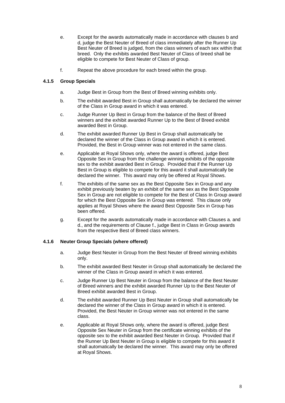- e. Except for the awards automatically made in accordance with clauses b and d, judge the Best Neuter of Breed of class immediately after the Runner Up Best Neuter of Breed is judged, from the class winners of each sex within that breed. Only the exhibits awarded Best Neuter of Class of breed shall be eligible to compete for Best Neuter of Class of group.
- f. Repeat the above procedure for each breed within the group.

# <span id="page-7-0"></span>**4.1.5 Group Specials**

- a. Judge Best in Group from the Best of Breed winning exhibits only.
- b. The exhibit awarded Best in Group shall automatically be declared the winner of the Class in Group award in which it was entered.
- c. Judge Runner Up Best in Group from the balance of the Best of Breed winners and the exhibit awarded Runner Up to the Best of Breed exhibit awarded Best in Group.
- d. The exhibit awarded Runner Up Best in Group shall automatically be declared the winner of the Class in Group award in which it is entered. Provided, the Best in Group winner was not entered in the same class.
- e. Applicable at Royal Shows only, where the award is offered, judge Best Opposite Sex in Group from the challenge winning exhibits of the opposite sex to the exhibit awarded Best in Group. Provided that if the Runner Up Best in Group is eligible to compete for this award it shall automatically be declared the winner. This award may only be offered at Royal Shows.
- f. The exhibits of the same sex as the Best Opposite Sex in Group and any exhibit previously beaten by an exhibit of the same sex as the Best Opposite Sex in Group are not eligible to compete for the Best of Class In Group award for which the Best Opposite Sex in Group was entered. This clause only applies at Royal Shows where the award Best Opposite Sex in Group has been offered.
- g. Except for the awards automatically made in accordance with Clauses a. and d., and the requirements of Clause f., judge Best in Class in Group awards from the respective Best of Breed class winners.

# <span id="page-7-1"></span>**4.1.6 Neuter Group Specials (where offered)**

- a. Judge Best Neuter in Group from the Best Neuter of Breed winning exhibits only.
- b. The exhibit awarded Best Neuter in Group shall automatically be declared the winner of the Class in Group award in which it was entered.
- c. Judge Runner Up Best Neuter in Group from the balance of the Best Neuter of Breed winners and the exhibit awarded Runner Up to the Best Neuter of Breed exhibit awarded Best in Group.
- d. The exhibit awarded Runner Up Best Neuter in Group shall automatically be declared the winner of the Class in Group award in which it is entered. Provided, the Best Neuter in Group winner was not entered in the same class.
- e. Applicable at Royal Shows only, where the award is offered, judge Best Opposite Sex Neuter in Group from the certificate winning exhibits of the opposite sex to the exhibit awarded Best Neuter in Group. Provided that if the Runner Up Best Neuter in Group is eligible to compete for this award it shall automatically be declared the winner. This award may only be offered at Royal Shows.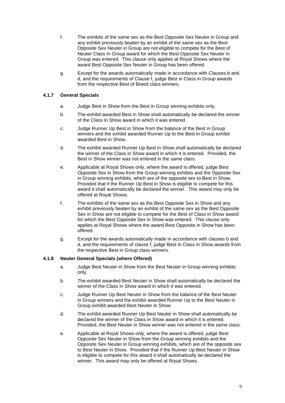- f. The exhibits of the same sex as the Best Opposite Sex Neuter in Group and any exhibit previously beaten by an exhibit of the same sex as the Best Opposite Sex Neuter in Group are not eligible to compete for the Best of Neuter Class In Group award for which the Best Opposite Sex Neuter in Group was entered. This clause only applies at Royal Shows where the award Best Opposite Sex Neuter in Group has been offered.
- g. Except for the awards automatically made in accordance with Clauses b and d, and the requirements of Clause f, judge Best in Class in Group awards from the respective Best of Breed class winners.

# <span id="page-8-0"></span>**4.1.7 General Specials**

- a. Judge Best in Show from the Best in Group winning exhibits only.
- b. The exhibit awarded Best in Show shall automatically be declared the winner of the Class in Show award in which it was entered.
- c. Judge Runner Up Best in Show from the balance of the Best in Group winners and the exhibit awarded Runner Up to the Best in Group exhibit awarded Best in Show.
- d. The exhibit awarded Runner Up Best in Show shall automatically be declared the winner of the Class in Show award in which it is entered. Provided, the Best in Show winner was not entered in the same class.
- e. Applicable at Royal Shows only, where the award is offered, judge Best Opposite Sex in Show from the Group winning exhibits and the Opposite Sex in Group winning exhibits, which are of the opposite sex to Best in Show. Provided that if the Runner Up Best in Show is eligible to compete for this award it shall automatically be declared the winner. This award may only be offered at Royal Shows.
- f. The exhibits of the same sex as the Best Opposite Sex in Show and any exhibit previously beaten by an exhibit of the same sex as the Best Opposite Sex in Show are not eligible to compete for the Best of Class in Show award for which the Best Opposite Sex in Show was entered. This clause only applies at Royal Shows where the award Best Opposite in Show has been offered.
- g. Except for the awards automatically made in accordance with clauses b and d, and the requirements of clause f, judge Best in Class in Show awards from the respective Best in Group class winners.

# <span id="page-8-1"></span>**4.1.8 Neuter General Specials (where Offered)**

- a. Judge Best Neuter in Show from the Best Neuter in Group winning exhibits only.
- b. The exhibit awarded Best Neuter in Show shall automatically be declared the winner of the Class in Show award in which it was entered.
- c. Judge Runner Up Best Neuter in Show from the balance of the Best Neuter in Group winners and the exhibit awarded Runner Up to the Best Neuter in Group exhibit awarded Best Neuter in Show.
- d. The exhibit awarded Runner Up Best Neuter in Show shall automatically be declared the winner of the Class in Show award in which it is entered. Provided, the Best Neuter in Show winner was not entered in the same class.
- e. Applicable at Royal Shows only, where the award is offered, judge Best Opposite Sex Neuter in Show from the Group winning exhibits and the Opposite Sex Neuter in Group winning exhibits, which are of the opposite sex to Best Neuter in Show. Provided that if the Runner Up Best Neuter in Show is eligible to compete for this award it shall automatically be declared the winner. This award may only be offered at Royal Shows.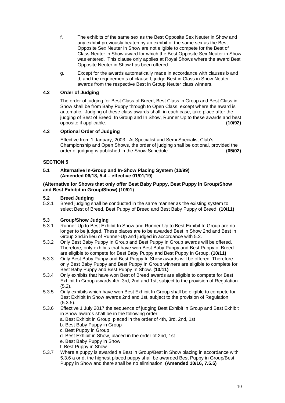- f. The exhibits of the same sex as the Best Opposite Sex Neuter in Show and any exhibit previously beaten by an exhibit of the same sex as the Best Opposite Sex Neuter in Show are not eligible to compete for the Best of Class Neuter in Show award for which the Best Opposite Sex Neuter in Show was entered. This clause only applies at Royal Shows where the award Best Opposite Neuter in Show has been offered.
- g. Except for the awards automatically made in accordance with clauses b and d, and the requirements of clause f, judge Best in Class in Show Neuter awards from the respective Best in Group Neuter class winners.

# <span id="page-9-0"></span>**4.2 Order of Judging**

The order of judging for Best Class of Breed, Best Class in Group and Best Class in Show shall be from Baby Puppy through to Open Class, except where the award is automatic. Judging of these class awards shall, in each case, take place after the judging of Best of Breed, In Group and In Show, Runner Up to these awards and best opposite if applicable. opposite if applicable. **(10/92)**

# <span id="page-9-1"></span>**4.3 Optional Order of Judging**

Effective from 1 January, 2003. At Specialist and Semi Specialist Club's Championship and Open Shows, the order of judging shall be optional, provided the order of judging is published in the Show Schedule. **(05/02)**

# <span id="page-9-2"></span>**SECTION 5**

### **5.1 Alternative In-Group and In-Show Placing System (10/99) (Amended 06/18, 5.4 – effective 01/01/19)**

### **(Alternative for Shows that only offer Best Baby Puppy, Best Puppy in Group/Show and Best Exhibit in Group/Show) (10/01)**

# **5.2 Breed Judging**

Breed judging shall be conducted in the same manner as the existing system to select Best of Breed, Best Puppy of Breed and Best Baby Puppy of Breed. **(10/11)** 

# **5.3 Group/Show Judging**

- 5.3.1 Runner-Up to Best Exhibit In Show and Runner-Up to Best Exhibit In Group are no longer to be judged. These places are to be awarded Best in Show 2nd and Best in Group 2nd.in lieu of Runner-Up and judged in accordance with 5.2.
- 5.3.2 Only Best Baby Puppy In Group and Best Puppy In Group awards will be offered. Therefore, only exhibits that have won Best Baby Puppy and Best Puppy of Breed are eligible to compete for Best Baby Puppy and Best Puppy In Group. **(10/11)**
- 5.3.3 Only Best Baby Puppy and Best Puppy In Show awards will be offered. Therefore only Best Baby Puppy and Best Puppy In Group winners are eligible to complete for Best Baby Puppy and Best Puppy In Show. **(10/11)**
- 5.3.4 Only exhibits that have won Best of Breed awards are eligible to compete for Best Exhibit In Group awards 4th, 3rd, 2nd and 1st, subject to the provision of Regulation  $(5.2)$ .
- 5.3.5 Only exhibits which have won Best Exhibit In Group shall be eligible to compete for Best Exhibit In Show awards 2nd and 1st, subject to the provision of Regulation (5.3.5).
- 5.3.6 Effective 1 July 2017 the sequence of judging Best Exhibit in Group and Best Exhibit in Show awards shall be in the following order:
	- a. Best Exhibit in Group, placed in the order of 4th, 3rd, 2nd, 1st
	- b. Best Baby Puppy in Group
	- c. Best Puppy in Group
	- d. Best Exhibit in Show, placed in the order of 2nd, 1st.
	- e. Best Baby Puppy in Show
	- f. Best Puppy in Show
- 5.3.7 Where a puppy is awarded a Best in Group/Best in Show placing in accordance with 5.3.6 a or d, the highest placed puppy shall be awarded Best Puppy in Group/Best Puppy in Show and there shall be no elimination. **(Amended 10/16, 7.5.5)**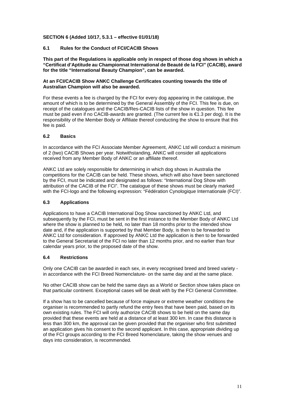# <span id="page-10-0"></span>**SECTION 6 (Added 10/17, 5.3.1 – effective 01/01/18)**

# <span id="page-10-1"></span>**6.1 Rules for the Conduct of FCI/CACIB Shows**

**This part of the Regulations is applicable only in respect of those dog shows in which a "Certificat d'Aptitude au Championnat International de Beauté de la FCI" (CACIB), award for the title "International Beauty Champion", can be awarded.**

# **At an FCI/CACIB Show ANKC Challenge Certificates counting towards the title of Australian Champion will also be awarded.**

For these events a fee is charged by the FCI for every dog appearing in the catalogue, the amount of which is to be determined by the General Assembly of the FCI. This fee is due, on receipt of the catalogues and the CACIB/Res-CACIB lists of the show in question. This fee must be paid even if no CACIB-awards are granted. (The current fee is €1.3 per dog). It is the responsibility of the Member Body or Affiliate thereof conducting the show to ensure that this fee is paid.

# <span id="page-10-2"></span>**6.2 Basics**

In accordance with the FCI Associate Member Agreement, ANKC Ltd will conduct a minimum of 2 (two) CACIB Shows per year. Notwithstanding, ANKC will consider all applications received from any Member Body of ANKC or an affiliate thereof.

ANKC Ltd are solely responsible for determining in which dog shows in Australia the competitions for the CACIB can be held. These shows, which will also have been sanctioned by the FCI, must be indicated and designated as follows: "International Dog Show with attribution of the CACIB of the FCI". The catalogue of these shows must be clearly marked with the FCI-logo and the following expression: "Fédération Cynologique Internationale (FCI)".

# <span id="page-10-3"></span>**6.3 Applications**

Applications to have a CACIB International Dog Show sanctioned by ANKC Ltd, and subsequently by the FCI, must be sent in the first instance to the Member Body of ANKC Ltd where the show is planned to be held, no later than 18 months prior to the intended show date and, if the application is supported by that Member Body, is then to be forwarded to ANKC Ltd for consideration. If approved by ANKC Ltd the application is then to be forwarded to the General Secretariat of the FCI no later than 12 months prior, and no earlier than four calendar years prior, to the proposed date of the show.

# <span id="page-10-4"></span>**6.4 Restrictions**

Only one CACIB can be awarded in each sex, in every recognised breed and breed variety in accordance with the FCI Breed Nomenclature- on the same day and at the same place.

No other CACIB show can be held the same days as a World or Section show takes place on that particular continent. Exceptional cases will be dealt with by the FCI General Committee.

If a show has to be cancelled because of force majeure or extreme weather conditions the organiser is recommended to partly refund the entry fees that have been paid, based on its own existing rules. The FCI will only authorize CACIB shows to be held on the same day provided that these events are held at a distance of at least 300 km. In case this distance is less than 300 km, the approval can be given provided that the organiser who first submitted an application gives his consent to the second applicant. In this case, appropriate dividing up of the FCI groups according to the FCI Breed Nomenclature, taking the show venues and days into consideration, is recommended.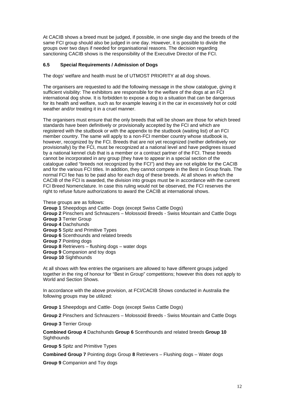At CACIB shows a breed must be judged, if possible, in one single day and the breeds of the same FCI group should also be judged in one day. However, it is possible to divide the groups over two days if needed for organisational reasons. The decision regarding sanctioning CACIB shows is the responsibility of the Executive Director of the FCI.

# <span id="page-11-0"></span>**6.5 Special Requirements / Admission of Dogs**

The dogs' welfare and health must be of UTMOST PRIORITY at all dog shows.

The organisers are requested to add the following message in the show catalogue, giving it sufficient visibility: The exhibitors are responsible for the welfare of the dogs at an FCI international dog show. It is forbidden to expose a dog to a situation that can be dangerous for its health and welfare, such as for example leaving it in the car in excessively hot or cold weather and/or treating it in a cruel manner.

The organisers must ensure that the only breeds that will be shown are those for which breed standards have been definitively or provisionally accepted by the FCI and which are registered with the studbook or with the appendix to the studbook (waiting list) of an FCI member country. The same will apply to a non-FCI member country whose studbook is, however, recognized by the FCI. Breeds that are not yet recognized (neither definitively nor provisionally) by the FCI, must be recognized at a national level and have pedigrees issued by a national kennel club that is a member or a contract partner of the FCI. These breeds cannot be incorporated in any group (they have to appear in a special section of the catalogue called "breeds not recognized by the FCI") and they are not eligible for the CACIB and for the various FCI titles. In addition, they cannot compete in the Best in Group finals. The normal FCI fee has to be paid also for each dog of these breeds. At all shows in which the CACIB of the FCI is awarded, the division into groups must be in accordance with the current FCI Breed Nomenclature. In case this ruling would not be observed, the FCI reserves the right to refuse future authorizations to award the CACIB at international shows.

These groups are as follows:

**Group 1** Sheepdogs and Cattle- Dogs (except Swiss Cattle Dogs)

- **Group 2** Pinschers and Schnauzers Molossoid Breeds Swiss Mountain and Cattle Dogs **Group 3** Terrier Group
- **Group 4** Dachshunds

**Group 5** Spitz and Primitive Types

**Group 6** Scenthounds and related breeds

**Group 7** Pointing dogs

**Group 8** Retrievers – flushing dogs – water dogs

**Group 9** Companion and toy dogs

**Group 10** Sighthounds

At all shows with few entries the organisers are allowed to have different groups judged together in the ring of honour for "Best in Group" competitions; however this does not apply to World and Section Shows.

In accordance with the above provision, at FCI/CACIB Shows conducted in Australia the following groups may be utilized:

**Group 1** Sheepdogs and Cattle- Dogs (except Swiss Cattle Dogs)

**Group 2** Pinschers and Schnauzers – Molossoid Breeds - Swiss Mountain and Cattle Dogs

**Group 3** Terrier Group

**Combined Group 4** Dachshunds **Group 6** Scenthounds and related breeds **Group 10 Sighthounds** 

**Group 5** Spitz and Primitive Types

**Combined Group 7** Pointing dogs Group **8** Retrievers – Flushing dogs – Water dogs

**Group 9** Companion and Toy dogs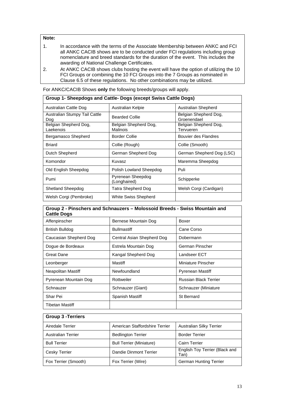# **Note:**

Tibetan Mastiff

- 1. In accordance with the terms of the Associate Membership between ANKC and FCI all ANKC CACIB shows are to be conducted under FCI regulations including group nomenclature and breed standards for the duration of the event. This includes the awarding of National Challenge Certificates.
- 2. At ANKC CACIB shows clubs hosting the event will have the option of utilizing the 10 FCI Groups or combining the 10 FCI Groups into the 7 Groups as nominated in Clause 6.5 of these regulations. No other combinations may be utilized.

For ANKC/CACIB Shows **only** the following breeds/groups will apply.

| oroup + oncepacyo and oams Dogo (cheepi omiss oams Dogo) |                                   |                                      |  |
|----------------------------------------------------------|-----------------------------------|--------------------------------------|--|
| Australian Cattle Dog                                    | Australian Kelpie                 | Australian Shepherd                  |  |
| Australian Stumpy Tail Cattle<br>Dog                     | <b>Bearded Collie</b>             | Belgian Shepherd Dog,<br>Groenendael |  |
| Belgian Shepherd Dog,<br>Laekenois                       | Belgian Shepherd Dog,<br>Malinois | Belgian Shepherd Dog,<br>Tervueren   |  |
| Bergamasco Shepherd                                      | <b>Border Collie</b>              | Bouvier des Flandres                 |  |
| <b>Briard</b>                                            | Collie (Rough)                    | Collie (Smooth)                      |  |
| Dutch Shepherd                                           | German Shepherd Dog               | German Shepherd Dog (LSC)            |  |
| Komondor                                                 | Kuvasz                            | Maremma Sheepdog                     |  |
| Old English Sheepdog                                     | Polish Lowland Sheepdog           | Puli                                 |  |
| Pumi                                                     | Pyrenean Sheepdog<br>(Longhaired) | Schipperke                           |  |
| Shetland Sheepdog                                        | Tatra Shepherd Dog                | Welsh Corgi (Cardigan)               |  |
| Welsh Corgi (Pembroke)                                   | White Swiss Shepherd              |                                      |  |

# **Group 1- Sheepdogs and Cattle- Dogs (except Swiss Cattle Dogs)**

| Group 2 - Pinschers and Schnauzers - Molossoid Breeds - Swiss Mountain and<br><b>Cattle Dogs</b> |                            |                              |  |
|--------------------------------------------------------------------------------------------------|----------------------------|------------------------------|--|
| Affenpinscher                                                                                    | Bernese Mountain Dog       | Boxer                        |  |
| British Bulldog                                                                                  | <b>Bullmastiff</b>         | Cane Corso                   |  |
| Caucasian Shepherd Dog                                                                           | Central Asian Shepherd Dog | Dobermann                    |  |
| Dogue de Bordeaux                                                                                | Estrela Mountain Dog       | German Pinscher              |  |
| Great Dane                                                                                       | Kangal Shepherd Dog        | Landseer ECT                 |  |
| Leonberger                                                                                       | Mastiff                    | Miniature Pinscher           |  |
| Neapolitan Mastiff                                                                               | Newfoundland               | <b>Pyrenean Mastiff</b>      |  |
| Pyrenean Mountain Dog                                                                            | Rottweiler                 | <b>Russian Black Terrier</b> |  |
| Schnauzer                                                                                        | Schnauzer (Giant)          | Schnauzer (Miniature         |  |
| Shar Pei                                                                                         | Spanish Mastiff            | <b>St Bernard</b>            |  |

| <b>Group 3 - Terriers</b> |                                 |                                        |
|---------------------------|---------------------------------|----------------------------------------|
| Airedale Terrier          | American Staffordshire Terrier  | Australian Silky Terrier               |
| <b>Australian Terrier</b> | <b>Bedlington Terrier</b>       | <b>Border Terrier</b>                  |
| <b>Bull Terrier</b>       | <b>Bull Terrier (Miniature)</b> | <b>Cairn Terrier</b>                   |
| Cesky Terrier             | Dandie Dinmont Terrier          | English Toy Terrier (Black and<br>Tan) |
| Fox Terrier (Smooth)      | Fox Terrier (Wire)              | <b>German Hunting Terrier</b>          |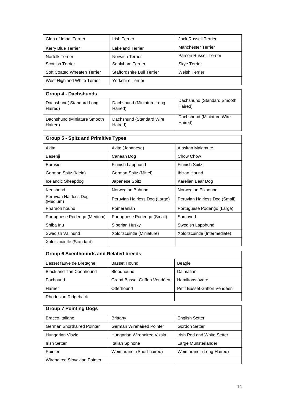| Glen of Imaal Terrier       | <b>Irish Terrier</b>              | <b>Jack Russell Terrier</b>   |
|-----------------------------|-----------------------------------|-------------------------------|
| <b>Kerry Blue Terrier</b>   | <b>Lakeland Terrier</b>           | <b>Manchester Terrier</b>     |
| <b>Norfolk Terrier</b>      | Norwich Terrier                   | <b>Parson Russell Terrier</b> |
| <b>Scottish Terrier</b>     | Sealyham Terrier                  | <b>Skye Terrier</b>           |
| Soft Coated Wheaten Terrier | <b>Staffordshire Bull Terrier</b> | <b>Welsh Terrier</b>          |
| West Highland White Terrier | <b>Yorkshire Terrier</b>          |                               |

| <b>Group 4 - Dachshunds</b> |                            |                            |
|-----------------------------|----------------------------|----------------------------|
| Dachshund (Standard Long    | Dachshund (Miniature Long) | Dachshund (Standard Smooth |
| Haired)                     | Haired)                    | Haired)                    |
| Dachshund (Miniature Smooth | Dachshund (Standard Wire   | Dachshund (Miniature Wire  |
| Haired)                     | Haired)                    | Haired)                    |

| <b>Group 5 - Spitz and Primitive Types</b> |                               |  |  |
|--------------------------------------------|-------------------------------|--|--|
| Akita (Japanese)                           | Alaskan Malamute              |  |  |
| Canaan Dog                                 | Chow Chow                     |  |  |
| Finnish Lapphund                           | Finnish Spitz                 |  |  |
| German Spitz (Mittel)                      | Ibizan Hound                  |  |  |
| Japanese Spitz                             | Karelian Bear Dog             |  |  |
| Norwegian Buhund                           | Norwegian Elkhound            |  |  |
| Peruvian Hairless Dog (Large)              | Peruvian Hairless Dog (Small) |  |  |
| Pomeranian                                 | Portuguese Podengo (Large)    |  |  |
| Portuguese Podengo (Small)                 | Samoyed                       |  |  |
| Siberian Husky                             | Swedish Lapphund              |  |  |
| Xoloitzcuintle (Miniature)                 | Xoloitzcuintle (Intermediate) |  |  |
|                                            |                               |  |  |
|                                            |                               |  |  |

| <b>Group 6 Scenthounds and Related breeds</b> |                              |                              |  |
|-----------------------------------------------|------------------------------|------------------------------|--|
| Basset fauve de Bretagne                      | <b>Basset Hound</b>          | Beagle                       |  |
| <b>Black and Tan Coonhound</b>                | Bloodhound                   | Dalmatian                    |  |
| Foxhound                                      | Grand Basset Griffon Vendéen | Hamiltonstövare              |  |
| Harrier                                       | Otterhound                   | Petit Basset Griffon Vendéen |  |
| Rhodesian Ridgeback                           |                              |                              |  |

# **Group 7 Pointing Dogs**

| Bracco Italiano                   | <b>Brittany</b>                  | <b>English Setter</b>      |
|-----------------------------------|----------------------------------|----------------------------|
| <b>German Shorthaired Pointer</b> | <b>German Wirehaired Pointer</b> | <b>Gordon Setter</b>       |
| Hungarian Viszla                  | Hungarian Wirehaired Vizsla      | Irish Red and White Setter |
| <b>Irish Setter</b>               | Italian Spinone                  | Large Munsterlander        |
| Pointer                           | Weimaraner (Short-haired)        | Weimaraner (Long-Haired)   |
| Wirehaired Slovakian Pointer      |                                  |                            |

┑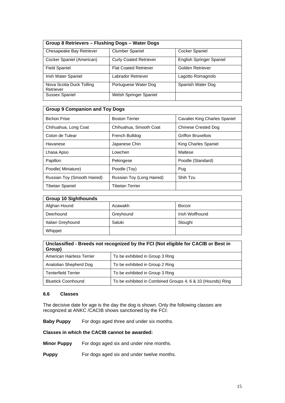| Group 8 Retrievers - Flushing Dogs - Water Dogs |                               |                          |
|-------------------------------------------------|-------------------------------|--------------------------|
| Chesapeake Bay Retriever                        | <b>Clumber Spaniel</b>        | <b>Cocker Spaniel</b>    |
| Cocker Spaniel (American)                       | <b>Curly Coated Retriever</b> | English Springer Spaniel |
| <b>Field Spaniel</b>                            | <b>Flat Coated Retriever</b>  | Golden Retriever         |
| Irish Water Spaniel                             | Labrador Retriever            | Lagotto Romagnolo        |
| Nova Scotia Duck Tolling<br>Retriever           | Portuguese Water Dog          | Spanish Water Dog        |
| Sussex Spaniel                                  | Welsh Springer Spaniel        |                          |

| <b>Group 9 Companion and Toy Dogs</b> |                           |                               |
|---------------------------------------|---------------------------|-------------------------------|
| <b>Bichon Frise</b>                   | <b>Boston Terrier</b>     | Cavalier King Charles Spaniel |
| Chihuahua, Long Coat                  | Chihuahua, Smooth Coat    | Chinese Crested Dog           |
| Coton de Tulear                       | French Bulldog            | <b>Griffon Bruxellois</b>     |
| Havanese                              | Japanese Chin             | King Charles Spaniel          |
| Lhasa Apso                            | Lowchen                   | Maltese                       |
| Papillon                              | Pekingese                 | Poodle (Standard)             |
| Poodle(Miniature)                     | Poodle (Toy)              | Pug                           |
| Russian Toy (Smooth Haired)           | Russian Toy (Long Haired) | Shih Tzu                      |
| <b>Tibetan Spaniel</b>                | <b>Tibetan Terrier</b>    |                               |

| <b>Group 10 Sighthounds</b> |           |                 |
|-----------------------------|-----------|-----------------|
| Afghan Hound                | Azawakh   | Borzoi          |
| Deerhound                   | Greyhound | Irish Wolfhound |
| Italian Greyhound           | Saluki    | Sloughi         |
| Whippet                     |           |                 |

| Unclassified - Breeds not recognized by the FCI (Not eligible for CACIB or Best in<br>Group) |                                                            |
|----------------------------------------------------------------------------------------------|------------------------------------------------------------|
| American Hairless Terrier                                                                    | To be exhibited in Group 3 Ring                            |
| Anatolian Shepherd Dog                                                                       | To be exhibited in Group 2 Ring                            |
| <b>Tenterfield Terrier</b>                                                                   | To be exhibited in Group 3 Ring                            |
| <b>Bluetick Coonhound</b>                                                                    | To be exhibited in Combined Groups 4, 6 & 10 (Hounds) Ring |

# <span id="page-14-0"></span>**6.6 Classes**

The decisive date for age is the day the dog is shown. Only the following classes are recognized at ANKC /CACIB shows sanctioned by the FCI:

**Baby Puppy** For dogs aged three and under six months.

**Classes in which the CACIB cannot be awarded:**

**Minor Puppy** For dogs aged six and under nine months.

**Puppy** For dogs aged six and under twelve months.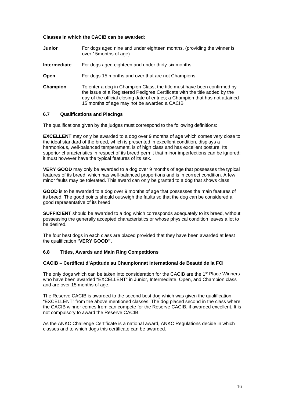#### **Classes in which the CACIB can be awarded**:

| <b>Junior</b>       | For dogs aged nine and under eighteen months. (providing the winner is<br>over 15 months of age)                                                                                                                                                                                      |
|---------------------|---------------------------------------------------------------------------------------------------------------------------------------------------------------------------------------------------------------------------------------------------------------------------------------|
| <b>Intermediate</b> | For dogs aged eighteen and under thirty-six months.                                                                                                                                                                                                                                   |
| Open                | For dogs 15 months and over that are not Champions                                                                                                                                                                                                                                    |
| Champion            | To enter a dog in Champion Class, the title must have been confirmed by<br>the issue of a Registered Pedigree Certificate with the title added by the<br>day of the official closing date of entries; a Champion that has not attained<br>15 months of age may not be awarded a CACIB |

### <span id="page-15-0"></span>**6.7 Qualifications and Placings**

The qualifications given by the judges must correspond to the following definitions:

**EXCELLENT** may only be awarded to a dog over 9 months of age which comes very close to the ideal standard of the breed, which is presented in excellent condition, displays a harmonious, well-balanced temperament, is of high class and has excellent posture. Its superior characteristics in respect of its breed permit that minor imperfections can be ignored; it must however have the typical features of its sex.

**VERY GOOD** may only be awarded to a dog over 9 months of age that possesses the typical features of its breed, which has well-balanced proportions and is in correct condition. A few minor faults may be tolerated. This award can only be granted to a dog that shows class.

**GOOD** is to be awarded to a dog over 9 months of age that possesses the main features of its breed. The good points should outweigh the faults so that the dog can be considered a good representative of its breed.

**SUFFICIENT** should be awarded to a dog which corresponds adequately to its breed, without possessing the generally accepted characteristics or whose physical condition leaves a lot to be desired.

The four best dogs in each class are placed provided that they have been awarded at least the qualification "**VERY GOOD".**

#### <span id="page-15-1"></span>**6.8 Titles, Awards and Main Ring Competitions**

#### **CACIB – Certificat d'Aptitude au Championnat International de Beauté de la FCI**

The only dogs which can be taken into consideration for the CACIB are the 1<sup>st</sup> Place Winners who have been awarded "EXCELLENT" in Junior, Intermediate, Open, and Champion class and are over 15 months of age.

The Reserve CACIB is awarded to the second best dog which was given the qualification "EXCELLENT" from the above mentioned classes. The dog placed second in the class where the CACIB winner comes from can compete for the Reserve CACIB, if awarded excellent. It is not compulsory to award the Reserve CACIB.

As the ANKC Challenge Certificate is a national award, ANKC Regulations decide in which classes and to which dogs this certificate can be awarded.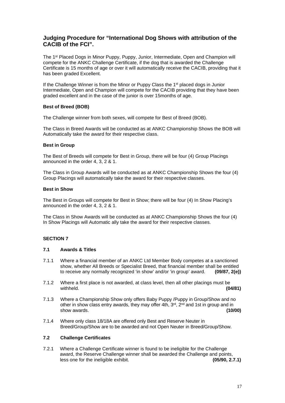# **Judging Procedure for "International Dog Shows with attribution of the CACIB of the FCI".**

The 1st Placed Dogs in Minor Puppy, Puppy, Junior, Intermediate, Open and Champion will compete for the ANKC Challenge Certificate, if the dog that is awarded the Challenge Certificate is 15 months of age or over it will automatically receive the CACIB, providing that it has been graded Excellent.

If the Challenge Winner is from the Minor or Puppy Class the 1st placed dogs in Junior Intermediate, Open and Champion will compete for the CACIB providing that they have been graded excellent and in the case of the junior is over 15months of age.

# **Best of Breed (BOB)**

The Challenge winner from both sexes, will compete for Best of Breed (BOB).

The Class in Breed Awards will be conducted as at ANKC Championship Shows the BOB will Automatically take the award for their respective class.

#### **Best in Group**

The Best of Breeds will compete for Best in Group, there will be four (4) Group Placings announced in the order 4, 3, 2 & 1.

The Class in Group Awards will be conducted as at ANKC Championship Shows the four (4) Group Placings will automatically take the award for their respective classes.

#### **Best in Show**

The Best in Groups will compete for Best in Show; there will be four (4) In Show Placing's announced in the order 4, 3, 2 & 1.

The Class in Show Awards will be conducted as at ANKC Championship Shows the four (4) In Show Placings will Automatic ally take the award for their respective classes.

# <span id="page-16-0"></span>**SECTION 7**

# <span id="page-16-1"></span>**7.1 Awards & Titles**

- 7.1.1 Where a financial member of an ANKC Ltd Member Body competes at a sanctioned show, whether All Breeds or Specialist Breed, that financial member shall be entitled to receive any normally recognized 'in show' and/or 'in group' award. **(09/87, 2(e))**
- 7.1.2 Where a first place is not awarded, at class level, then all other placings must be withheld. withheld. **(04/81)**
- 7.1.3 Where a Championship Show only offers Baby Puppy /Puppy in Group/Show and no other in show class entry awards, they may offer 4th,  $3<sup>rd</sup>$ ,  $2<sup>nd</sup>$  and 1st in group and in show awards. show awards.
- 7.1.4 Where only class 18/18A are offered only Best and Reserve Neuter in Breed/Group/Show are to be awarded and not Open Neuter in Breed/Group/Show.

# <span id="page-16-2"></span>**7.2 Challenge Certificates**

7.2.1 Where a Challenge Certificate winner is found to be ineligible for the Challenge award, the Reserve Challenge winner shall be awarded the Challenge and points,<br>less one for the ineligible exhibit. (05/90. 2.7.1) less one for the ineligible exhibit.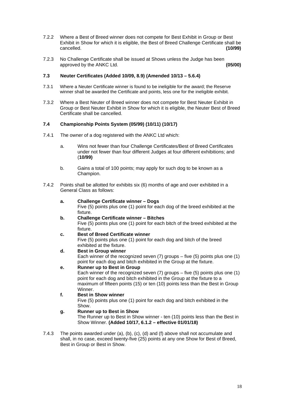- 7.2.2 Where a Best of Breed winner does not compete for Best Exhibit in Group or Best Exhibit in Show for which it is eligible, the Best of Breed Challenge Certificate shall be cancelled. **(10/99)**
- 7.2.3 No Challenge Certificate shall be issued at Shows unless the Judge has been<br>approved by the ANKC Ltd. approved by the ANKC Ltd.

# <span id="page-17-0"></span>**7.3 Neuter Certificates (Added 10/09, 8.9) (Amended 10/13 – 5.6.4)**

- 7.3.1 Where a Neuter Certificate winner is found to be ineligible for the award; the Reserve winner shall be awarded the Certificate and points, less one for the ineligible exhibit.
- 7.3.2 Where a Best Neuter of Breed winner does not compete for Best Neuter Exhibit in Group or Best Neuter Exhibit in Show for which it is eligible, the Neuter Best of Breed Certificate shall be cancelled.

# <span id="page-17-1"></span>**7.4 Championship Points System (05/99) (10/11) (10/17)**

- 7.4.1 The owner of a dog registered with the ANKC Ltd which:
	- a. Wins not fewer than four Challenge Certificates/Best of Breed Certificates under not fewer than four different Judges at four different exhibitions; and (**10/99)**
	- b. Gains a total of 100 points; may apply for such dog to be known as a Champion.
- 7.4.2 Points shall be allotted for exhibits six (6) months of age and over exhibited in a General Class as follows:
	- **a. Challenge Certificate winner – Dogs** Five (5) points plus one (1) point for each dog of the breed exhibited at the fixture.
	- **b. Challenge Certificate winner – Bitches** Five (5) points plus one (1) point for each bitch of the breed exhibited at the fixture.
	- **c. Best of Breed Certificate winner** Five (5) points plus one (1) point for each dog and bitch of the breed exhibited at the fixture.
	- **d. Best in Group winner** Each winner of the recognized seven (7) groups – five (5) points plus one (1) point for each dog and bitch exhibited in the Group at the fixture.
	- **e. Runner up to Best in Group** Each winner of the recognized seven (7) groups – five (5) points plus one (1) point for each dog and bitch exhibited in the Group at the fixture to a maximum of fifteen points (15) or ten (10) points less than the Best in Group Winner.
	- **f. Best in Show winner** Five (5) points plus one (1) point for each dog and bitch exhibited in the Show.
	- **g. Runner up to Best in Show** The Runner up to Best in Show winner - ten (10) points less than the Best in Show Winner. **(Added 10/17, 6.1.2 – effective 01/01/18)**
- 7.4.3 The points awarded under (a), (b), (c), (d) and (f) above shall not accumulate and shall, in no case, exceed twenty-five (25) points at any one Show for Best of Breed, Best in Group or Best in Show.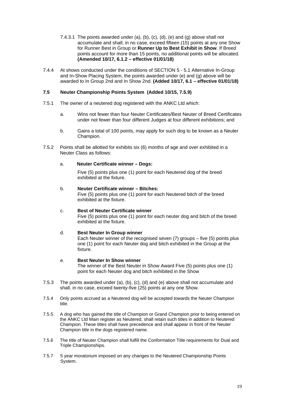- 7.4.3.1 The points awarded under (a), (b), (c), (d), (e) and (g) above shall not accumulate and shall, in no case, exceed fifteen (15) points at any one Show for Runner Best in Group or **Runner Up to Best Exhibit in Show**. If Breed points account for more than 15 points, no additional points will be allocated. **(Amended 10/17, 6.1.2 – effective 01/01/18)**
- 7.4.4 At shows conducted under the conditions of SECTION 5 5.1 Alternative In-Group and In-Show Placing System, the points awarded under (e) and (g) above will be awarded to In Group 2nd and In Show 2nd. **(Added 10/17, 6.1 – effective 01/01/18)**

# <span id="page-18-0"></span>**7.5 Neuter Championship Points System (Added 10/15, 7.5.9)**

- 7.5.1 The owner of a neutered dog registered with the ANKC Ltd which:
	- a. Wins not fewer than four Neuter Certificates/Best Neuter of Breed Certificates under not fewer than four different Judges at four different exhibitions; and
	- b. Gains a total of 100 points, may apply for such dog to be known as a Neuter Champion.
- 7.5.2 Points shall be allotted for exhibits six (6) months of age and over exhibited in a Neuter Class as follows:

### a. **Neuter Certificate winner – Dogs:**

Five (5) points plus one (1) point for each Neutered dog of the breed exhibited at the fixture.

### b. **Neuter Certificate winner – Bitches:**

Five (5) points plus one (1) point for each Neutered bitch of the breed exhibited at the fixture.

#### c. **Best of Neuter Certificate winner** Five (5) points plus one (1) point for each neuter dog and bitch of the breed exhibited at the fixture.

# d. **Best Neuter In Group winner**

Each Neuter winner of the recognised seven (7) groups – five (5) points plus one (1) point for each Neuter dog and bitch exhibited in the Group at the fixture.

#### e. **Best Neuter In Show winner**  The winner of the Best Neuter in Show Award Five (5) points plus one (1)

point for each Neuter dog and bitch exhibited in the Show

- 7.5.3 The points awarded under (a), (b), (c), (d) and (e) above shall not accumulate and shall, in no case, exceed twenty-five (25) points at any one Show.
- 7.5.4 Only points accrued as a Neutered dog will be accepted towards the Neuter Champion title.
- 7.5.5 A dog who has gained the title of Champion or Grand Champion prior to being entered on the ANKC Ltd Main register as Neutered, shall retain such titles in addition to Neutered Champion. These titles shall have precedence and shall appear in front of the Neuter Champion title in the dogs registered name.
- 7.5.6 The title of Neuter Champion shall fulfill the Conformation Title requirements for Dual and Triple Championships.
- 7.5.7 5 year moratorium imposed on any changes to the Neutered Championship Points System.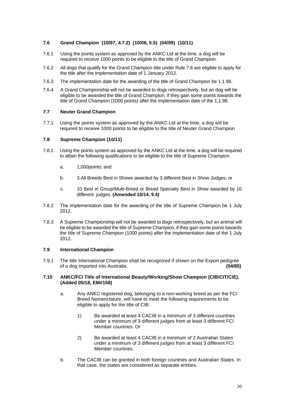# <span id="page-19-0"></span>**7.6 Grand Champion (10/97, 4.7.2) (10/08, 5.5) (04/09) (10/11)**

- 7.6.1 Using the points system as approved by the ANKC Ltd at the time, a dog will be required to receive 1000 points to be eligible to the title of Grand Champion.
- 7.6.2 All dogs that qualify for the Grand Champion title under Rule 7.6 are eligible to apply for the title after the implementation date of 1 January 2012.
- 7.6.3 The implementation date for the awarding of the title of Grand Champion be 1.1.98.
- 7.6.4 A Grand Championship will not be awarded to dogs retrospectively, but an dog will be eligible to be awarded the title of Grand Champion, if they gain some points towards the title of Grand Champion (1000 points) after the implementation date of the 1.1.98.

# <span id="page-19-1"></span>**7.7 Neuter Grand Champion**

7.7.1 Using the points system as approved by the ANKC Ltd at the time, a dog will be required to receive 1000 points to be eligible to the title of Neuter Grand Champion

# <span id="page-19-2"></span>**7.8 Supreme Champion (10/11)**

- 7.8.1 Using the points system as approved by the ANKC Ltd at the time, a dog will be required to attain the following qualifications to be eligible to the title of Supreme Champion.
	- a. 1,000points; and
	- b. 3 All Breeds Best in Shows awarded by 3 different Best in Show Judges; or
	- c. 10 Best in Group/Multi-Breed or Breed Specialty Best in Show awarded by 10 different judges. **(Amended 10/14, 9.4)**
- 7.8.2 The implementation date for the awarding of the title of Supreme Champion be 1 July 2012.
- 7.8.3 A Supreme Championship will not be awarded to dogs retrospectively, but an animal will be eligible to be awarded the title of Supreme Champion, if they gain some points towards the title of Supreme Champion (1000 points) after the implementation date of the 1 July 2012.

# <span id="page-19-3"></span>**7.9 International Champion**

7.9.1 The title International Champion shall be recognized if shown on the Export pedigree<br>of a dog imported into Australia. of a dog imported into Australia.

#### <span id="page-19-4"></span>**7.10 ANKC/FCI Title of International Beauty/Working/Show Champion (CIB/CIT/CIE). (Added 05/18, EM#158)**

- a. Any ANKC registered dog, belonging to a non-working breed as per the FCI Breed Nomenclature, will have to meet the following requirements to be eligible to apply for the title of CIB:
	- 1) Be awarded at least 4 CACIB in a minimum of 3 different countries under a minimum of 3 different judges from at least 3 different FCI Member countries. Or
	- 2) Be awarded at least 4 CACIB in a minimum of 2 Australian States under a minimum of 3 different judges from at least 3 different FCI Member countries.
- b. The CACIB can be granted in both foreign countries and Australian States. In that case, the states are considered as separate entities.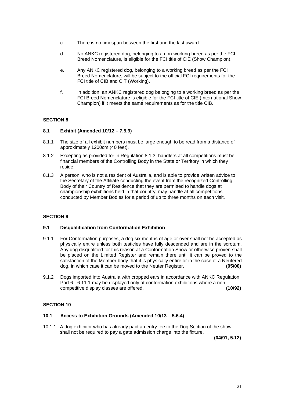- c. There is no timespan between the first and the last award.
- d. No ANKC registered dog, belonging to a non-working breed as per the FCI Breed Nomenclature, is eligible for the FCI title of CIE (Show Champion).
- e. Any ANKC registered dog, belonging to a working breed as per the FCI Breed Nomenclature, will be subject to the official FCI requirements for the FCI title of CIB and CIT (Working).
- f. In addition, an ANKC registered dog belonging to a working breed as per the FCI Breed Nomenclature is eligible for the FCI title of CIE (International Show Champion) if it meets the same requirements as for the title CIB.

# <span id="page-20-0"></span>**SECTION 8**

#### <span id="page-20-1"></span>**8.1 Exhibit (Amended 10/12 – 7.5.9)**

- 8.1.1 The size of all exhibit numbers must be large enough to be read from a distance of approximately 1200cm (40 feet).
- 8.1.2 Excepting as provided for in Regulation 8.1.3, handlers at all competitions must be financial members of the Controlling Body in the State or Territory in which they reside.
- 8.1.3 A person, who is not a resident of Australia, and is able to provide written advice to the Secretary of the Affiliate conducting the event from the recognized Controlling Body of their Country of Residence that they are permitted to handle dogs at championship exhibitions held in that country, may handle at all competitions conducted by Member Bodies for a period of up to three months on each visit.

# <span id="page-20-2"></span>**SECTION 9**

# <span id="page-20-3"></span>**9.1 Disqualification from Conformation Exhibition**

- 9.1.1 For Conformation purposes, a dog six months of age or over shall not be accepted as physically entire unless both testicles have fully descended and are in the scrotum. Any dog disqualified for this reason at a Conformation Show or otherwise proven shall be placed on the Limited Register and remain there until it can be proved to the satisfaction of the Member body that it is physically entire or in the case of a Neutered dog. in which case it can be moved to the Neuter Register. dog, in which case it can be moved to the Neuter Register.
- 9.1.2 Dogs imported into Australia with cropped ears in accordance with ANKC Regulation Part 6 - 6.11.1 may be displayed only at conformation exhibitions where a noncompetitive display classes are offered. **(10/92)**

#### <span id="page-20-4"></span>**SECTION 10**

#### <span id="page-20-5"></span>**10.1 Access to Exhibition Grounds (Amended 10/13 – 5.6.4)**

10.1.1 A dog exhibitor who has already paid an entry fee to the Dog Section of the show, shall not be required to pay a gate admission charge into the fixture.

**(04/91, 5.12)**